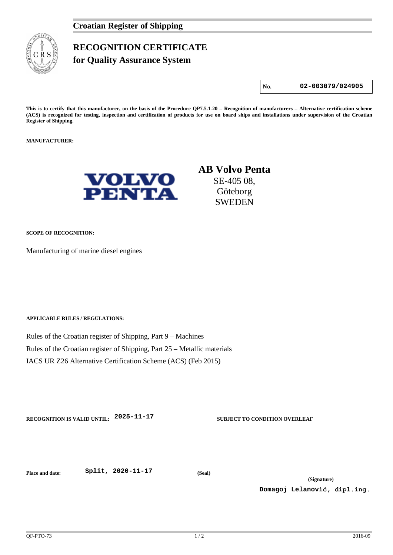

## **RECOGNITION CERTIFICATE for Quality Assurance System**

**No. 02-003079/024905**

**This is to certify that this manufacturer, on the basis of the Procedure QP7.5.1-20 – Recognition of manufacturers – Alternative certification scheme (ACS) is recognized for testing, inspection and certification of products for use on board ships and installations under supervision of the Croatian Register of Shipping.**

**MANUFACTURER:**



## **AB Volvo Penta** SE-405 08, Göteborg SWEDEN

**SCOPE OF RECOGNITION:**

Manufacturing of marine diesel engines

**APPLICABLE RULES / REGULATIONS:**

Rules of the Croatian register of Shipping, Part 9 – Machines Rules of the Croatian register of Shipping, Part 25 – Metallic materials IACS UR Z26 Alternative Certification Scheme (ACS) (Feb 2015)

**RECOGNITION IS VALID UNTIL: 2025-11-17 SUBJECT TO CONDITION OVERLEAF**

**Place and date: Split, 2020-11-17 (Seal)**

**(Signature)**

**Domagoj Lelanović, dipl.ing.**